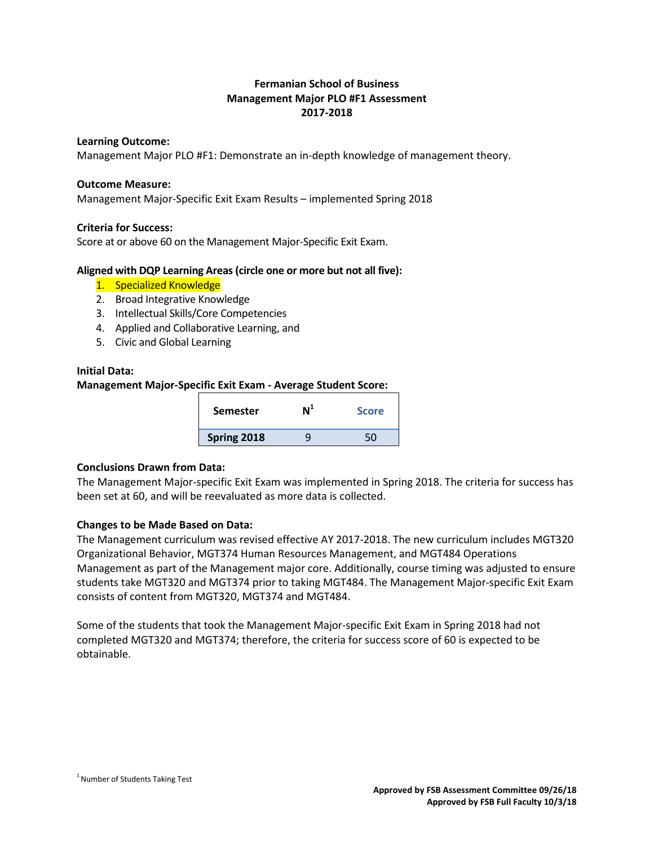# **Fermanian School of Business Management Major PLO #F1 Assessment 2017-2018**

#### **Learning Outcome:**

Management Major PLO #F1: Demonstrate an in-depth knowledge of management theory.

#### **Outcome Measure:**

Management Major-Specific Exit Exam Results – implemented Spring 2018

# **Criteria for Success:**

Score at or above 60 on the Management Major-Specific Exit Exam.

# **Aligned with DQP Learning Areas (circle one or more but not all five):**

- 1. Specialized Knowledge
- 2. Broad Integrative Knowledge
- 3. Intellectual Skills/Core Competencies
- 4. Applied and Collaborative Learning, and
- 5. Civic and Global Learning

# **Initial Data:**

# **Management Major-Specific Exit Exam - Average Student Score:**

| <b>Semester</b> | N1 | <b>Score</b> |
|-----------------|----|--------------|
| Spring 2018     |    |              |

#### **Conclusions Drawn from Data:**

The Management Major-specific Exit Exam was implemented in Spring 2018. The criteria for success has been set at 60, and will be reevaluated as more data is collected.

# **Changes to be Made Based on Data:**

The Management curriculum was revised effective AY 2017-2018. The new curriculum includes MGT320 Organizational Behavior, MGT374 Human Resources Management, and MGT484 Operations Management as part of the Management major core. Additionally, course timing was adjusted to ensure students take MGT320 and MGT374 prior to taking MGT484. The Management Major-specific Exit Exam consists of content from MGT320, MGT374 and MGT484.

Some of the students that took the Management Major-specific Exit Exam in Spring 2018 had not completed MGT320 and MGT374; therefore, the criteria for success score of 60 is expected to be obtainable.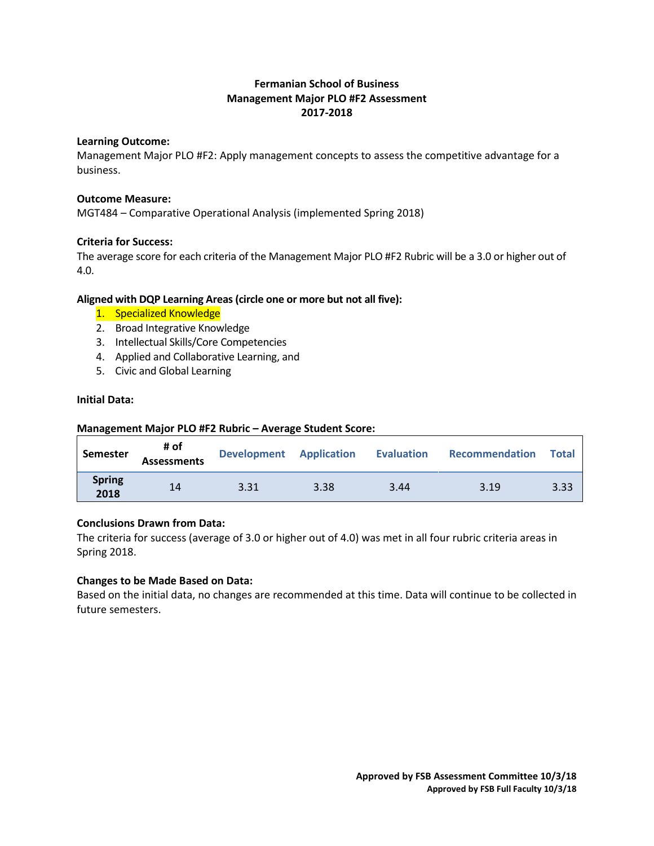# **Fermanian School of Business Management Major PLO #F2 Assessment 2017-2018**

#### **Learning Outcome:**

Management Major PLO #F2: Apply management concepts to assess the competitive advantage for a business.

# **Outcome Measure:**

MGT484 – Comparative Operational Analysis (implemented Spring 2018)

# **Criteria for Success:**

The average score for each criteria of the Management Major PLO #F2 Rubric will be a 3.0 or higher out of 4.0.

# **Aligned with DQP Learning Areas (circle one or more but not all five):**

- 1. Specialized Knowledge
- 2. Broad Integrative Knowledge
- 3. Intellectual Skills/Core Competencies
- 4. Applied and Collaborative Learning, and
- 5. Civic and Global Learning

# **Initial Data:**

# **Management Major PLO #F2 Rubric – Average Student Score:**

| Semester              | # of<br><b>Assessments</b> | Development Application Evaluation |      |      | Recommendation | <b>Total</b> |
|-----------------------|----------------------------|------------------------------------|------|------|----------------|--------------|
| <b>Spring</b><br>2018 | 14                         | 3.31                               | 3.38 | 3.44 | 3.19           | 3.33         |

# **Conclusions Drawn from Data:**

The criteria for success (average of 3.0 or higher out of 4.0) was met in all four rubric criteria areas in Spring 2018.

#### **Changes to be Made Based on Data:**

Based on the initial data, no changes are recommended at this time. Data will continue to be collected in future semesters.